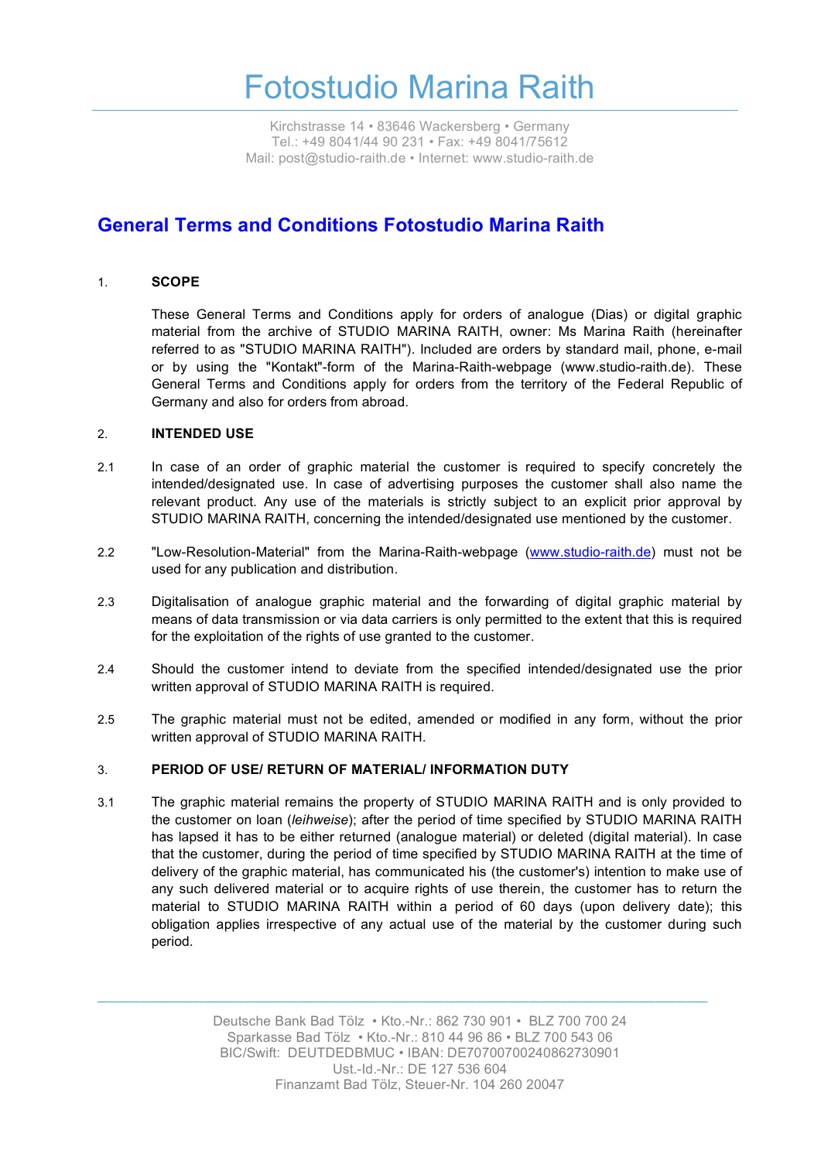Kirchstrasse 14 • 83646 Wackersberg • Germany Tel.: +49 8041/44 90 231 • Fax: +49 8041/75612 Mail: post@studio-raith.de • Internet: www.studio-raith.de

### **General Terms and Conditions Fotostudio Marina Raith**

### 1. **SCOPE**

These General Terms and Conditions apply for orders of analogue (Dias) or digital graphic material from the archive of STUDIO MARINA RAITH, owner: Ms Marina Raith (hereinafter referred to as "STUDIO MARINA RAITH"). Included are orders by standard mail, phone, e-mail or by using the "Kontakt"-form of the Marina-Raith-webpage (www.studio-raith.de). These General Terms and Conditions apply for orders from the territory of the Federal Republic of Germany and also for orders from abroad.

#### 2. **INTENDED USE**

- 2.1 In case of an order of graphic material the customer is required to specify concretely the intended/designated use. In case of advertising purposes the customer shall also name the relevant product. Any use of the materials is strictly subject to an explicit prior approval by STUDIO MARINA RAITH, concerning the intended/designated use mentioned by the customer.
- 2.2 "Low-Resolution-Material" from the Marina-Raith-webpage (www.studio-raith.de) must not be used for any publication and distribution.
- 2.3 Digitalisation of analogue graphic material and the forwarding of digital graphic material by means of data transmission or via data carriers is only permitted to the extent that this is required for the exploitation of the rights of use granted to the customer.
- 2.4 Should the customer intend to deviate from the specified intended/designated use the prior written approval of STUDIO MARINA RAITH is required.
- 2.5 The graphic material must not be edited, amended or modified in any form, without the prior written approval of STUDIO MARINA RAITH.

#### 3. **PERIOD OF USE/ RETURN OF MATERIAL/ INFORMATION DUTY**

3.1 The graphic material remains the property of STUDIO MARINA RAITH and is only provided to the customer on loan (*leihweise*); after the period of time specified by STUDIO MARINA RAITH has lapsed it has to be either returned (analogue material) or deleted (digital material). In case that the customer, during the period of time specified by STUDIO MARINA RAITH at the time of delivery of the graphic material, has communicated his (the customer's) intention to make use of any such delivered material or to acquire rights of use therein, the customer has to return the material to STUDIO MARINA RAITH within a period of 60 days (upon delivery date); this obligation applies irrespective of any actual use of the material by the customer during such period.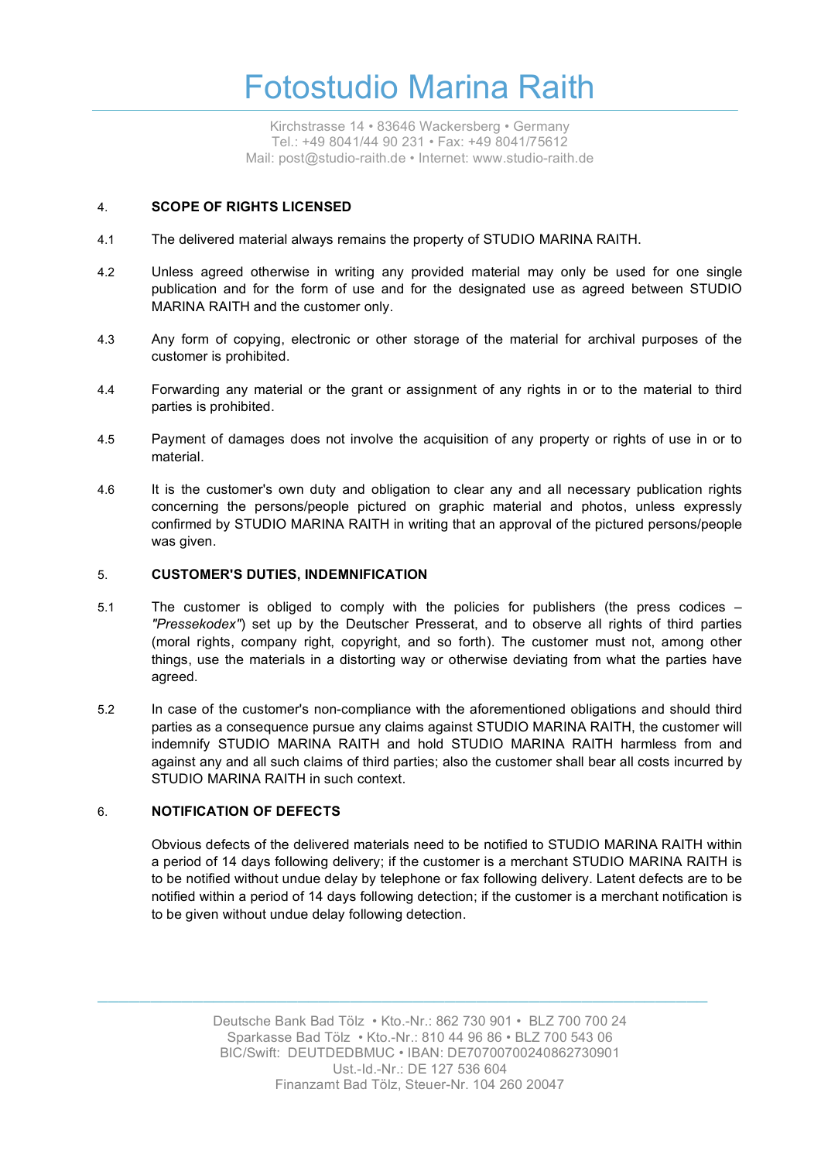Kirchstrasse 14 • 83646 Wackersberg • Germany Tel.: +49 8041/44 90 231 • Fax: +49 8041/75612 Mail: post@studio-raith.de • Internet: www.studio-raith.de

### 4. **SCOPE OF RIGHTS LICENSED**

- 4.1 The delivered material always remains the property of STUDIO MARINA RAITH.
- 4.2 Unless agreed otherwise in writing any provided material may only be used for one single publication and for the form of use and for the designated use as agreed between STUDIO MARINA RAITH and the customer only.
- 4.3 Any form of copying, electronic or other storage of the material for archival purposes of the customer is prohibited.
- 4.4 Forwarding any material or the grant or assignment of any rights in or to the material to third parties is prohibited.
- 4.5 Payment of damages does not involve the acquisition of any property or rights of use in or to material.
- 4.6 It is the customer's own duty and obligation to clear any and all necessary publication rights concerning the persons/people pictured on graphic material and photos, unless expressly confirmed by STUDIO MARINA RAITH in writing that an approval of the pictured persons/people was given.

#### 5. **CUSTOMER'S DUTIES, INDEMNIFICATION**

- 5.1 The customer is obliged to comply with the policies for publishers (the press codices *"Pressekodex"*) set up by the Deutscher Presserat, and to observe all rights of third parties (moral rights, company right, copyright, and so forth). The customer must not, among other things, use the materials in a distorting way or otherwise deviating from what the parties have agreed.
- 5.2 In case of the customer's non-compliance with the aforementioned obligations and should third parties as a consequence pursue any claims against STUDIO MARINA RAITH, the customer will indemnify STUDIO MARINA RAITH and hold STUDIO MARINA RAITH harmless from and against any and all such claims of third parties; also the customer shall bear all costs incurred by STUDIO MARINA RAITH in such context.

### 6. **NOTIFICATION OF DEFECTS**

Obvious defects of the delivered materials need to be notified to STUDIO MARINA RAITH within a period of 14 days following delivery; if the customer is a merchant STUDIO MARINA RAITH is to be notified without undue delay by telephone or fax following delivery. Latent defects are to be notified within a period of 14 days following detection; if the customer is a merchant notification is to be given without undue delay following detection.

> Deutsche Bank Bad Tölz • Kto.-Nr.: 862 730 901 • BLZ 700 700 24 Sparkasse Bad Tölz • Kto.-Nr.: 810 44 96 86 • BLZ 700 543 06 BIC/Swift: DEUTDEDBMUC • IBAN: DE70700700240862730901 Ust.-Id.-Nr.: DE 127 536 604 Finanzamt Bad Tölz, Steuer-Nr. 104 260 20047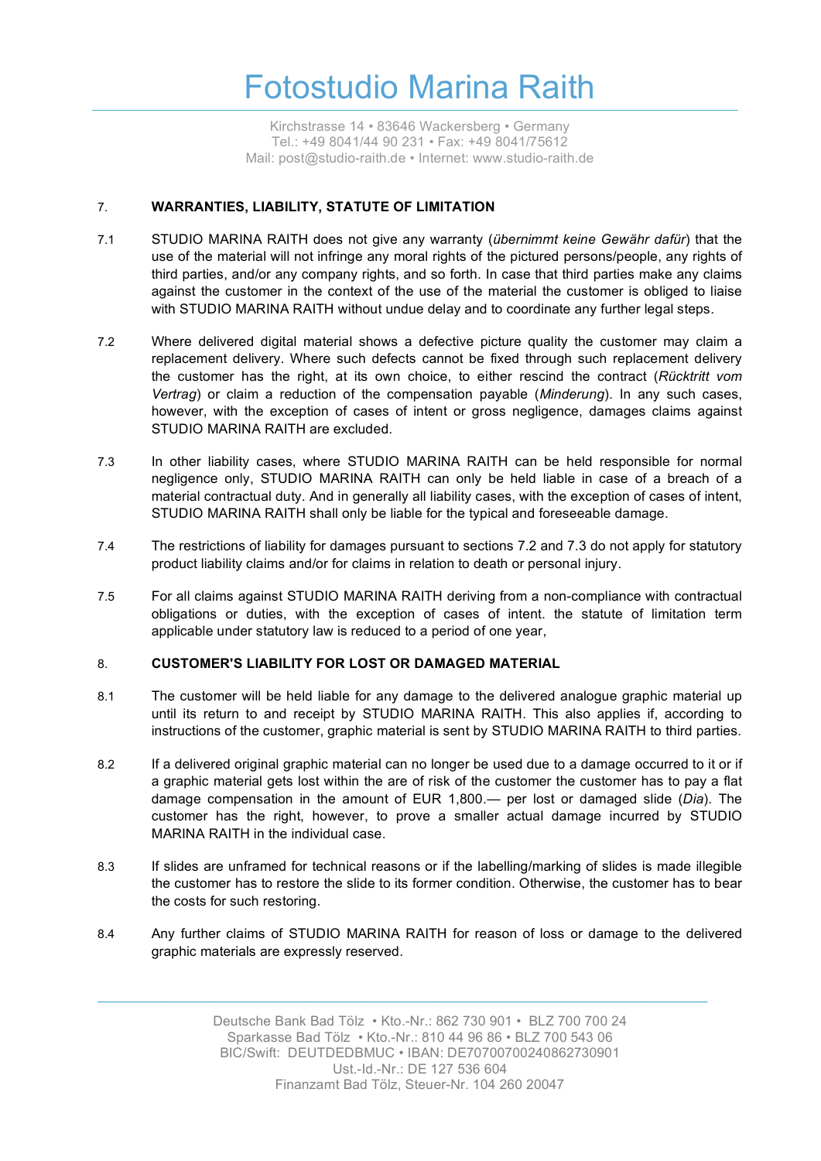Kirchstrasse 14 • 83646 Wackersberg • Germany Tel.: +49 8041/44 90 231 • Fax: +49 8041/75612 Mail: post@studio-raith.de • Internet: www.studio-raith.de

### 7. **WARRANTIES, LIABILITY, STATUTE OF LIMITATION**

- 7.1 STUDIO MARINA RAITH does not give any warranty (*übernimmt keine Gewähr dafür*) that the use of the material will not infringe any moral rights of the pictured persons/people, any rights of third parties, and/or any company rights, and so forth. In case that third parties make any claims against the customer in the context of the use of the material the customer is obliged to liaise with STUDIO MARINA RAITH without undue delay and to coordinate any further legal steps.
- 7.2 Where delivered digital material shows a defective picture quality the customer may claim a replacement delivery. Where such defects cannot be fixed through such replacement delivery the customer has the right, at its own choice, to either rescind the contract (*Rücktritt vom Vertrag*) or claim a reduction of the compensation payable (*Minderung*). In any such cases, however, with the exception of cases of intent or gross negligence, damages claims against STUDIO MARINA RAITH are excluded.
- 7.3 In other liability cases, where STUDIO MARINA RAITH can be held responsible for normal negligence only, STUDIO MARINA RAITH can only be held liable in case of a breach of a material contractual duty. And in generally all liability cases, with the exception of cases of intent, STUDIO MARINA RAITH shall only be liable for the typical and foreseeable damage.
- 7.4 The restrictions of liability for damages pursuant to sections 7.2 and 7.3 do not apply for statutory product liability claims and/or for claims in relation to death or personal injury.
- 7.5 For all claims against STUDIO MARINA RAITH deriving from a non-compliance with contractual obligations or duties, with the exception of cases of intent. the statute of limitation term applicable under statutory law is reduced to a period of one year,

### 8. **CUSTOMER'S LIABILITY FOR LOST OR DAMAGED MATERIAL**

- 8.1 The customer will be held liable for any damage to the delivered analogue graphic material up until its return to and receipt by STUDIO MARINA RAITH. This also applies if, according to instructions of the customer, graphic material is sent by STUDIO MARINA RAITH to third parties.
- 8.2 If a delivered original graphic material can no longer be used due to a damage occurred to it or if a graphic material gets lost within the are of risk of the customer the customer has to pay a flat damage compensation in the amount of EUR 1,800.— per lost or damaged slide (*Dia*). The customer has the right, however, to prove a smaller actual damage incurred by STUDIO MARINA RAITH in the individual case.
- 8.3 If slides are unframed for technical reasons or if the labelling/marking of slides is made illegible the customer has to restore the slide to its former condition. Otherwise, the customer has to bear the costs for such restoring.
- 8.4 Any further claims of STUDIO MARINA RAITH for reason of loss or damage to the delivered graphic materials are expressly reserved.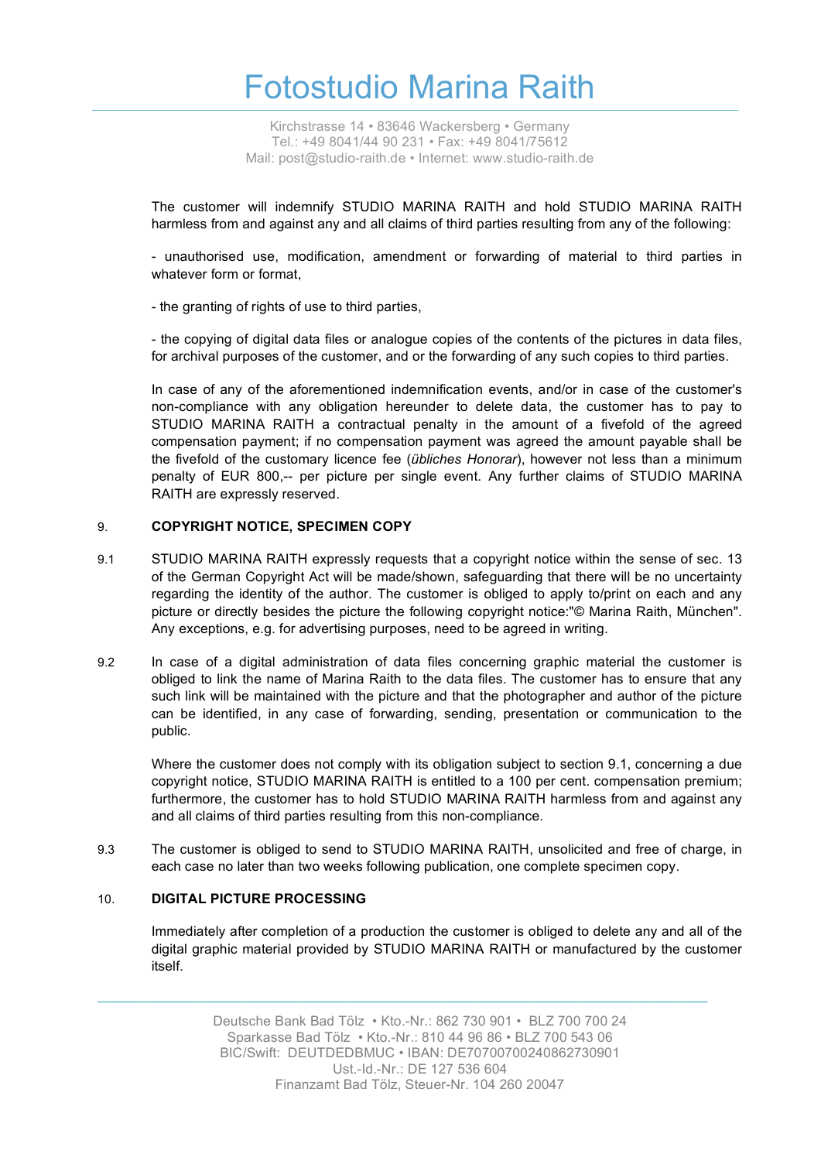Kirchstrasse 14 • 83646 Wackersberg • Germany Tel.: +49 8041/44 90 231 • Fax: +49 8041/75612 Mail: post@studio-raith.de • Internet: www.studio-raith.de

The customer will indemnify STUDIO MARINA RAITH and hold STUDIO MARINA RAITH harmless from and against any and all claims of third parties resulting from any of the following:

- unauthorised use, modification, amendment or forwarding of material to third parties in whatever form or format,

- the granting of rights of use to third parties,

- the copying of digital data files or analogue copies of the contents of the pictures in data files, for archival purposes of the customer, and or the forwarding of any such copies to third parties.

In case of any of the aforementioned indemnification events, and/or in case of the customer's non-compliance with any obligation hereunder to delete data, the customer has to pay to STUDIO MARINA RAITH a contractual penalty in the amount of a fivefold of the agreed compensation payment; if no compensation payment was agreed the amount payable shall be the fivefold of the customary licence fee (*übliches Honorar*), however not less than a minimum penalty of EUR 800,-- per picture per single event. Any further claims of STUDIO MARINA RAITH are expressly reserved.

#### 9. **COPYRIGHT NOTICE, SPECIMEN COPY**

- 9.1 STUDIO MARINA RAITH expressly requests that a copyright notice within the sense of sec. 13 of the German Copyright Act will be made/shown, safeguarding that there will be no uncertainty regarding the identity of the author. The customer is obliged to apply to/print on each and any picture or directly besides the picture the following copyright notice:"© Marina Raith, München". Any exceptions, e.g. for advertising purposes, need to be agreed in writing.
- 9.2 In case of a digital administration of data files concerning graphic material the customer is obliged to link the name of Marina Raith to the data files. The customer has to ensure that any such link will be maintained with the picture and that the photographer and author of the picture can be identified, in any case of forwarding, sending, presentation or communication to the public.

Where the customer does not comply with its obligation subject to section 9.1, concerning a due copyright notice, STUDIO MARINA RAITH is entitled to a 100 per cent. compensation premium; furthermore, the customer has to hold STUDIO MARINA RAITH harmless from and against any and all claims of third parties resulting from this non-compliance.

9.3 The customer is obliged to send to STUDIO MARINA RAITH, unsolicited and free of charge, in each case no later than two weeks following publication, one complete specimen copy.

### 10. **DIGITAL PICTURE PROCESSING**

Immediately after completion of a production the customer is obliged to delete any and all of the digital graphic material provided by STUDIO MARINA RAITH or manufactured by the customer itself.